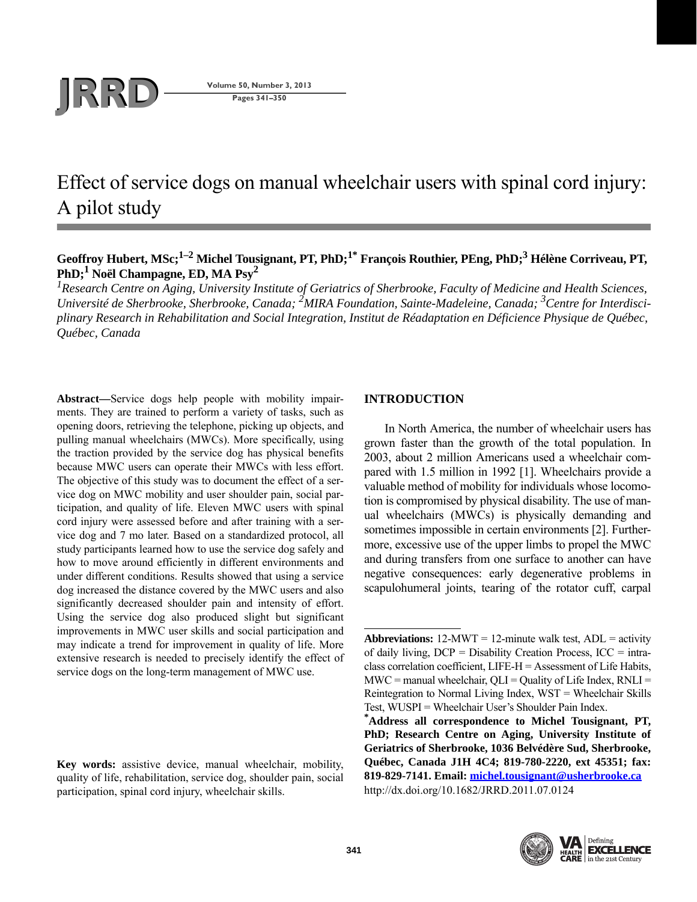# **JRD Volume 50, Number 3, 2013**<br>Pages 341–350

**Pages 341–350**

# Effect of service dogs on manual wheelchair users with spinal cord injury: A pilot study

# Geoffroy Hubert, MSc;<sup>1–2</sup> Michel Tousignant, PT, PhD;<sup>1\*</sup> François Routhier, PEng, PhD;<sup>3</sup> Hélène Corriveau, PT, **PhD;1 Noël Champagne, ED, MA Psy2**

<sup>1</sup> Research Centre on Aging, University Institute of Geriatrics of Sherbrooke, Faculty of Medicine and Health Sciences, *Université de Sherbrooke, Sherbrooke, Canada; 2 MIRA Foundation, Sainte-Madeleine, Canada; 3 Centre for Interdisciplinary Research in Rehabilitation and Social Integration, Institut de Réadaptation en Déficience Physique de Québec, Québec, Canada*

**Abstract—**Service dogs help people with mobility impairments. They are trained to perform a variety of tasks, such as opening doors, retrieving the telephone, picking up objects, and pulling manual wheelchairs (MWCs). More specifically, using the traction provided by the service dog has physical benefits because MWC users can operate their MWCs with less effort. The objective of this study was to document the effect of a service dog on MWC mobility and user shoulder pain, social participation, and quality of life. Eleven MWC users with spinal cord injury were assessed before and after training with a service dog and 7 mo later. Based on a standardized protocol, all study participants learned how to use the service dog safely and how to move around efficiently in different environments and under different conditions. Results showed that using a service dog increased the distance covered by the MWC users and also significantly decreased shoulder pain and intensity of effort. Using the service dog also produced slight but significant improvements in MWC user skills and social participation and may indicate a trend for improvement in quality of life. More extensive research is needed to precisely identify the effect of service dogs on the long-term management of MWC use.

**Key words:** assistive device, manual wheelchair, mobility, quality of life, rehabilitation, service dog, shoulder pain, social participation, spinal cord injury, wheelchair skills.

# **INTRODUCTION**

In North America, the number of wheelchair users has grown faster than the growth of the total population. In 2003, about 2 million Americans used a wheelchair compared with 1.5 million in 1992 [1]. Wheelchairs provide a valuable method of mobility for individuals whose locomotion is compromised by physical disability. The use of manual wheelchairs (MWCs) is physically demanding and sometimes impossible in certain environments [2]. Furthermore, excessive use of the upper limbs to propel the MWC and during transfers from one surface to another can have negative consequences: early degenerative problems in scapulohumeral joints, tearing of the rotator cuff, carpal

Test, WUSPI = Wheelchair User's Shoulder Pain Index.<br> **\*Address all correspondence to Michel Tousignant, PT, PhD; Research Centre on Aging, University Institute of Geriatrics of Sherbrooke, 1036 Belvédère Sud, Sherbrooke, Québec, Canada J1H 4C4; 819-780-2220, ext 45351; fax: 819-829-7141. Email: [michel.tousignant@usherbrooke.ca](mailto:michel.tousignant@usherbrooke.ca)** http://dx.doi.org/10.1682/JRRD.2011.07.0124





**Abbreviations:**  $12-MWT = 12$ -minute walk test,  $ADL =$  activity of daily living,  $DCP =$  Disability Creation Process,  $ICC = intra$ class correlation coefficient, LIFE-H = Assessment of Life Habits,  $MWC =$  manual wheelchair,  $OLI =$  Quality of Life Index,  $RNLI =$ Reintegration to Normal Living Index, WST = Wheelchair Skills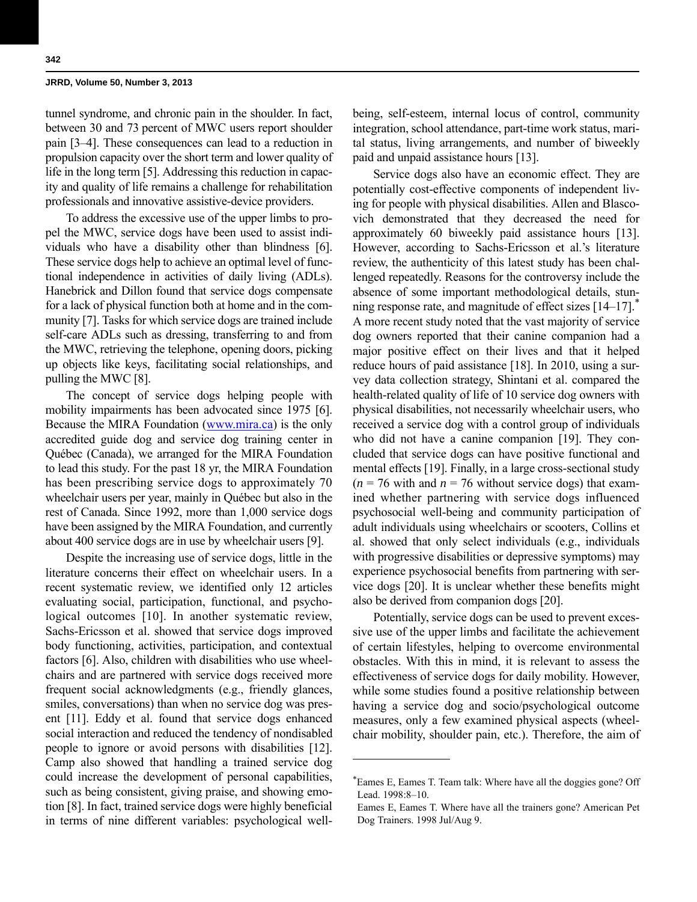tunnel syndrome, and chronic pain in the shoulder. In fact, between 30 and 73 percent of MWC users report shoulder pain [3–4]. These consequences can lead to a reduction in propulsion capacity over the short term and lower quality of life in the long term [5]. Addressing this reduction in capacity and quality of life remains a challenge for rehabilitation professionals and innovative assistive-device providers.

To address the excessive use of the upper limbs to propel the MWC, service dogs have been used to assist individuals who have a disability other than blindness [6]. These service dogs help to achieve an optimal level of functional independence in activities of daily living (ADLs). Hanebrick and Dillon found that service dogs compensate for a lack of physical function both at home and in the community [7]. Tasks for which service dogs are trained include self-care ADLs such as dressing, transferring to and from the MWC, retrieving the telephone, opening doors, picking up objects like keys, facilitating social relationships, and pulling the MWC [8].

The concept of service dogs helping people with mobility impairments has been advocated since 1975 [6]. Because the MIRA Foundation [\(www.mira.ca\)](http://www.mira.ca) is the only accredited guide dog and service dog training center in Québec (Canada), we arranged for the MIRA Foundation to lead this study. For the past 18 yr, the MIRA Foundation has been prescribing service dogs to approximately 70 wheelchair users per year, mainly in Québec but also in the rest of Canada. Since 1992, more than 1,000 service dogs have been assigned by the MIRA Foundation, and currently about 400 service dogs are in use by wheelchair users [9].

Despite the increasing use of service dogs, little in the literature concerns their effect on wheelchair users. In a recent systematic review, we identified only 12 articles evaluating social, participation, functional, and psychological outcomes [10]. In another systematic review, Sachs-Ericsson et al. showed that service dogs improved body functioning, activities, participation, and contextual factors [6]. Also, children with disabilities who use wheelchairs and are partnered with service dogs received more frequent social acknowledgments (e.g., friendly glances, smiles, conversations) than when no service dog was present [11]. Eddy et al. found that service dogs enhanced social interaction and reduced the tendency of nondisabled people to ignore or avoid persons with disabilities [12]. Camp also showed that handling a trained service dog could increase the development of personal capabilities, such as being consistent, giving praise, and showing emotion [8]. In fact, trained service dogs were highly beneficial in terms of nine different variables: psychological wellbeing, self-esteem, internal locus of control, community integration, school attendance, part-time work status, marital status, living arrangements, and number of biweekly paid and unpaid assistance hours [13].

Service dogs also have an economic effect. They are potentially cost-effective components of independent living for people with physical disabilities. Allen and Blascovich demonstrated that they decreased the need for approximately 60 biweekly paid assistance hours [13]. However, according to Sachs-Ericsson et al.'s literature review, the authenticity of this latest study has been challenged repeatedly. Reasons for the controversy include the absence of some important methodological details, stunning response rate, and magnitude of effect sizes [14–17].<sup>\*</sup> A more recent study noted that the vast majority of service dog owners reported that their canine companion had a major positive effect on their lives and that it helped reduce hours of paid assistance [18]. In 2010, using a survey data collection strategy, Shintani et al. compared the health-related quality of life of 10 service dog owners with physical disabilities, not necessarily wheelchair users, who received a service dog with a control group of individuals who did not have a canine companion [19]. They concluded that service dogs can have positive functional and mental effects [19]. Finally, in a large cross-sectional study  $(n = 76 \text{ with and } n = 76 \text{ without service dogs})$  that examined whether partnering with service dogs influenced psychosocial well-being and community participation of adult individuals using wheelchairs or scooters, Collins et al. showed that only select individuals (e.g., individuals with progressive disabilities or depressive symptoms) may experience psychosocial benefits from partnering with service dogs [20]. It is unclear whether these benefits might also be derived from companion dogs [20].

Potentially, service dogs can be used to prevent excessive use of the upper limbs and facilitate the achievement of certain lifestyles, helping to overcome environmental obstacles. With this in mind, it is relevant to assess the effectiveness of service dogs for daily mobility. However, while some studies found a positive relationship between having a service dog and socio/psychological outcome measures, only a few examined physical aspects (wheelchair mobility, shoulder pain, etc.). Therefore, the aim of

<sup>\*</sup>Eames E, Eames T. Team talk: Where have all the doggies gone? Off Lead. 1998:8–10.

Eames E, Eames T. Where have all the trainers gone? American Pet Dog Trainers. 1998 Jul/Aug 9.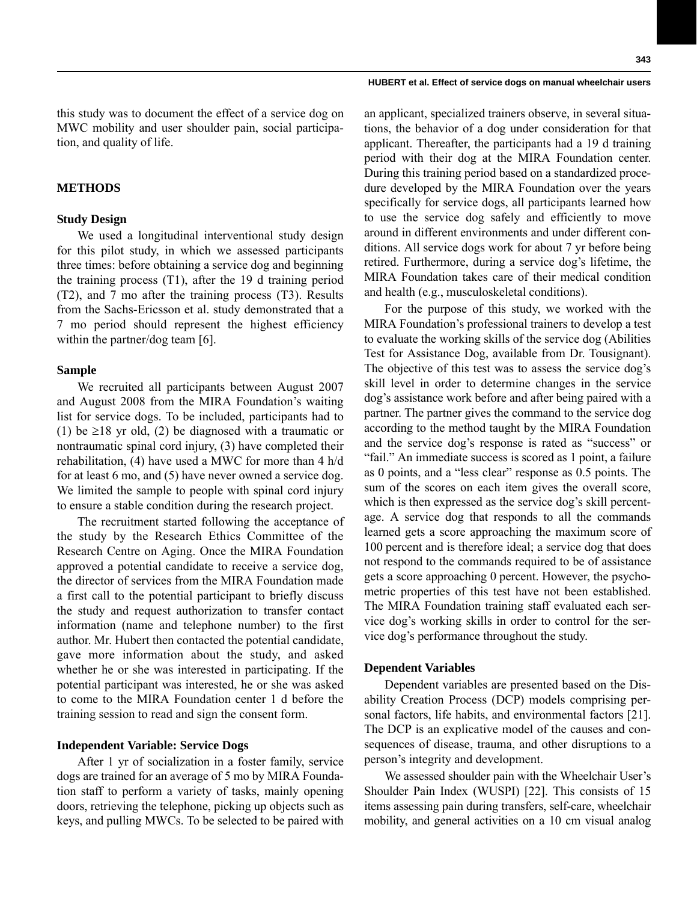#### **HUBERT et al. Effect of service dogs on manual wheelchair users**

this study was to document the effect of a service dog on MWC mobility and user shoulder pain, social participation, and quality of life.

# **METHODS**

# **Study Design**

We used a longitudinal interventional study design for this pilot study, in which we assessed participants three times: before obtaining a service dog and beginning the training process (T1), after the 19 d training period (T2), and 7 mo after the training process (T3). Results from the Sachs-Ericsson et al. study demonstrated that a 7 mo period should represent the highest efficiency within the partner/dog team [6].

# **Sample**

We recruited all participants between August 2007 and August 2008 from the MIRA Foundation's waiting list for service dogs. To be included, participants had to (1) be  $\geq$ 18 yr old, (2) be diagnosed with a traumatic or nontraumatic spinal cord injury, (3) have completed their rehabilitation, (4) have used a MWC for more than 4 h/d for at least 6 mo, and (5) have never owned a service dog. We limited the sample to people with spinal cord injury to ensure a stable condition during the research project.

The recruitment started following the acceptance of the study by the Research Ethics Committee of the Research Centre on Aging. Once the MIRA Foundation approved a potential candidate to receive a service dog, the director of services from the MIRA Foundation made a first call to the potential participant to briefly discuss the study and request authorization to transfer contact information (name and telephone number) to the first author. Mr. Hubert then contacted the potential candidate, gave more information about the study, and asked whether he or she was interested in participating. If the potential participant was interested, he or she was asked to come to the MIRA Foundation center 1 d before the training session to read and sign the consent form.

#### **Independent Variable: Service Dogs**

After 1 yr of socialization in a foster family, service dogs are trained for an average of 5 mo by MIRA Foundation staff to perform a variety of tasks, mainly opening doors, retrieving the telephone, picking up objects such as keys, and pulling MWCs. To be selected to be paired with

an applicant, specialized trainers observe, in several situations, the behavior of a dog under consideration for that applicant. Thereafter, the participants had a 19 d training period with their dog at the MIRA Foundation center. During this training period based on a standardized procedure developed by the MIRA Foundation over the years specifically for service dogs, all participants learned how to use the service dog safely and efficiently to move around in different environments and under different conditions. All service dogs work for about 7 yr before being retired. Furthermore, during a service dog's lifetime, the MIRA Foundation takes care of their medical condition and health (e.g., musculoskeletal conditions).

For the purpose of this study, we worked with the MIRA Foundation's professional trainers to develop a test to evaluate the working skills of the service dog (Abilities Test for Assistance Dog, available from Dr. Tousignant). The objective of this test was to assess the service dog's skill level in order to determine changes in the service dog's assistance work before and after being paired with a partner. The partner gives the command to the service dog according to the method taught by the MIRA Foundation and the service dog's response is rated as "success" or "fail." An immediate success is scored as 1 point, a failure as 0 points, and a "less clear" response as 0.5 points. The sum of the scores on each item gives the overall score, which is then expressed as the service dog's skill percentage. A service dog that responds to all the commands learned gets a score approaching the maximum score of 100 percent and is therefore ideal; a service dog that does not respond to the commands required to be of assistance gets a score approaching 0 percent. However, the psychometric properties of this test have not been established. The MIRA Foundation training staff evaluated each service dog's working skills in order to control for the service dog's performance throughout the study.

#### **Dependent Variables**

Dependent variables are presented based on the Disability Creation Process (DCP) models comprising personal factors, life habits, and environmental factors [21]. The DCP is an explicative model of the causes and consequences of disease, trauma, and other disruptions to a person's integrity and development.

We assessed shoulder pain with the Wheelchair User's Shoulder Pain Index (WUSPI) [22]. This consists of 15 items assessing pain during transfers, self-care, wheelchair mobility, and general activities on a 10 cm visual analog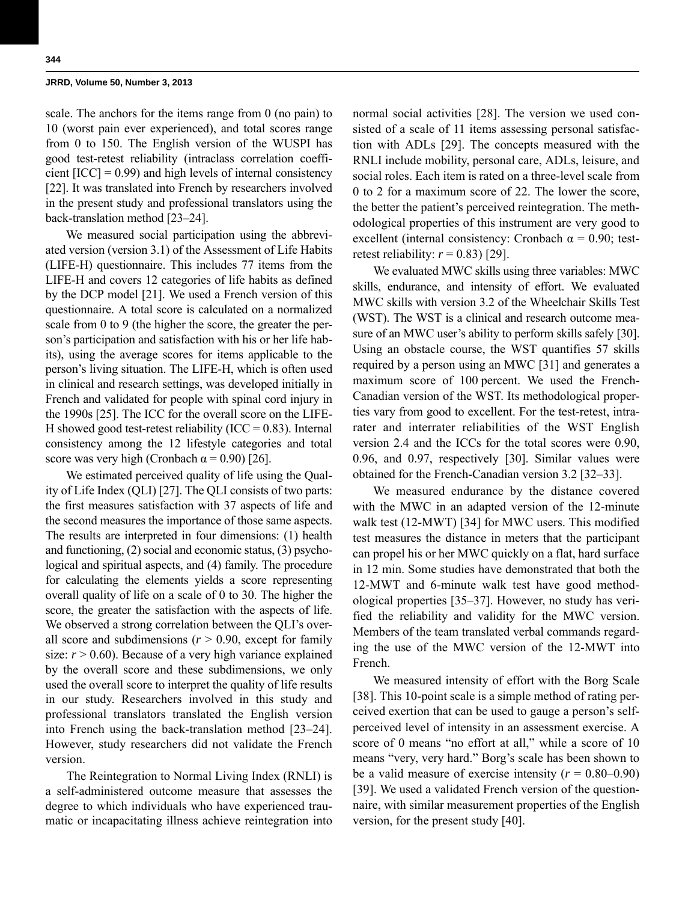scale. The anchors for the items range from 0 (no pain) to 10 (worst pain ever experienced), and total scores range from 0 to 150. The English version of the WUSPI has good test-retest reliability (intraclass correlation coefficient  $[ICC] = 0.99$ ) and high levels of internal consistency [22]. It was translated into French by researchers involved in the present study and professional translators using the back-translation method [23–24].

We measured social participation using the abbreviated version (version 3.1) of the Assessment of Life Habits (LIFE-H) questionnaire. This includes 77 items from the LIFE-H and covers 12 categories of life habits as defined by the DCP model [21]. We used a French version of this questionnaire. A total score is calculated on a normalized scale from 0 to 9 (the higher the score, the greater the person's participation and satisfaction with his or her life habits), using the average scores for items applicable to the person's living situation. The LIFE-H, which is often used in clinical and research settings, was developed initially in French and validated for people with spinal cord injury in the 1990s [25]. The ICC for the overall score on the LIFE-H showed good test-retest reliability (ICC =  $0.83$ ). Internal consistency among the 12 lifestyle categories and total score was very high (Cronbach  $\alpha$  = 0.90) [26].

We estimated perceived quality of life using the Quality of Life Index (QLI) [27]. The QLI consists of two parts: the first measures satisfaction with 37 aspects of life and the second measures the importance of those same aspects. The results are interpreted in four dimensions: (1) health and functioning, (2) social and economic status, (3) psychological and spiritual aspects, and (4) family. The procedure for calculating the elements yields a score representing overall quality of life on a scale of 0 to 30. The higher the score, the greater the satisfaction with the aspects of life. We observed a strong correlation between the QLI's overall score and subdimensions  $(r > 0.90$ , except for family size:  $r > 0.60$ ). Because of a very high variance explained by the overall score and these subdimensions, we only used the overall score to interpret the quality of life results in our study. Researchers involved in this study and professional translators translated the English version into French using the back-translation method [23–24]. However, study researchers did not validate the French version.

The Reintegration to Normal Living Index (RNLI) is a self-administered outcome measure that assesses the degree to which individuals who have experienced traumatic or incapacitating illness achieve reintegration into

normal social activities [28]. The version we used consisted of a scale of 11 items assessing personal satisfaction with ADLs [29]. The concepts measured with the RNLI include mobility, personal care, ADLs, leisure, and social roles. Each item is rated on a three-level scale from 0 to 2 for a maximum score of 22. The lower the score, the better the patient's perceived reintegration. The methodological properties of this instrument are very good to excellent (internal consistency: Cronbach  $\alpha = 0.90$ ; testretest reliability:  $r = 0.83$  [29].

We evaluated MWC skills using three variables: MWC skills, endurance, and intensity of effort. We evaluated MWC skills with version 3.2 of the Wheelchair Skills Test (WST). The WST is a clinical and research outcome measure of an MWC user's ability to perform skills safely [30]. Using an obstacle course, the WST quantifies 57 skills required by a person using an MWC [31] and generates a maximum score of 100 percent. We used the French-Canadian version of the WST. Its methodological properties vary from good to excellent. For the test-retest, intrarater and interrater reliabilities of the WST English version 2.4 and the ICCs for the total scores were 0.90, 0.96, and 0.97, respectively [30]. Similar values were obtained for the French-Canadian version 3.2 [32–33].

We measured endurance by the distance covered with the MWC in an adapted version of the 12-minute walk test (12-MWT) [34] for MWC users. This modified test measures the distance in meters that the participant can propel his or her MWC quickly on a flat, hard surface in 12 min. Some studies have demonstrated that both the 12-MWT and 6-minute walk test have good methodological properties [35–37]. However, no study has verified the reliability and validity for the MWC version. Members of the team translated verbal commands regarding the use of the MWC version of the 12-MWT into French.

We measured intensity of effort with the Borg Scale [38]. This 10-point scale is a simple method of rating perceived exertion that can be used to gauge a person's selfperceived level of intensity in an assessment exercise. A score of 0 means "no effort at all," while a score of 10 means "very, very hard." Borg's scale has been shown to be a valid measure of exercise intensity  $(r = 0.80 - 0.90)$ [39]. We used a validated French version of the questionnaire, with similar measurement properties of the English version, for the present study [40].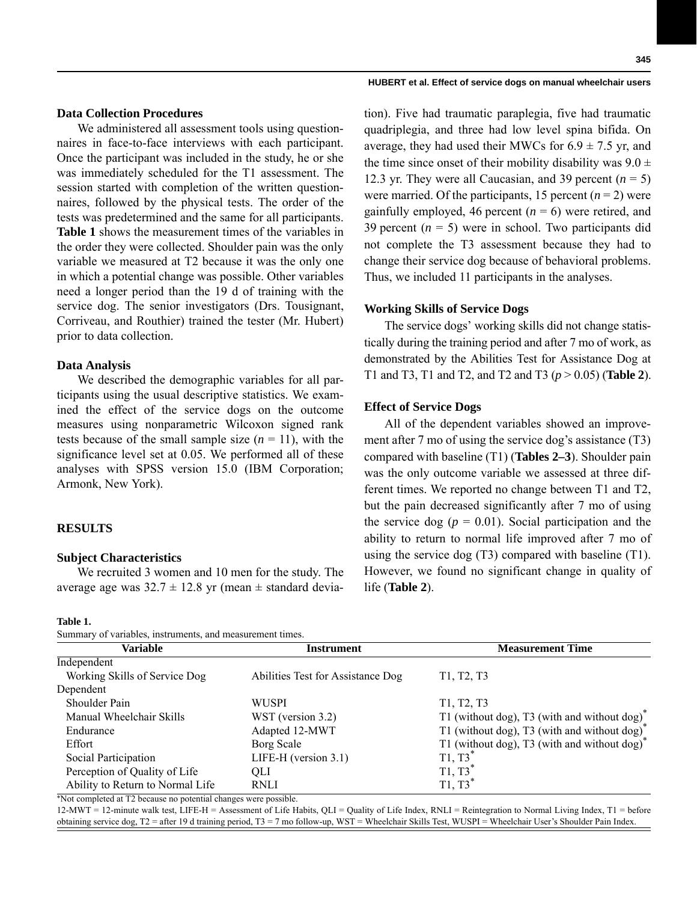#### **HUBERT et al. Effect of service dogs on manual wheelchair users**

# **Data Collection Procedures**

We administered all assessment tools using questionnaires in face-to-face interviews with each participant. Once the participant was included in the study, he or she was immediately scheduled for the T1 assessment. The session started with completion of the written questionnaires, followed by the physical tests. The order of the tests was predetermined and the same for all participants. **Table 1** shows the measurement times of the variables in the order they were collected. Shoulder pain was the only variable we measured at T2 because it was the only one in which a potential change was possible. Other variables need a longer period than the 19 d of training with the service dog. The senior investigators (Drs. Tousignant, Corriveau, and Routhier) trained the tester (Mr. Hubert) prior to data collection.

# **Data Analysis**

We described the demographic variables for all participants using the usual descriptive statistics. We examined the effect of the service dogs on the outcome measures using nonparametric Wilcoxon signed rank tests because of the small sample size  $(n = 11)$ , with the significance level set at 0.05. We performed all of these analyses with SPSS version 15.0 (IBM Corporation; Armonk, New York).

# **RESULTS**

# **Subject Characteristics**

We recruited 3 women and 10 men for the study. The average age was  $32.7 \pm 12.8$  yr (mean  $\pm$  standard devia-

#### **Table 1.**

 $\mathbf{S}$  sumplements and measurement times.

tion). Five had traumatic paraplegia, five had traumatic quadriplegia, and three had low level spina bifida. On average, they had used their MWCs for  $6.9 \pm 7.5$  yr, and the time since onset of their mobility disability was  $9.0 \pm$ 12.3 yr. They were all Caucasian, and 39 percent  $(n = 5)$ were married. Of the participants, 15 percent  $(n = 2)$  were gainfully employed, 46 percent  $(n = 6)$  were retired, and 39 percent  $(n = 5)$  were in school. Two participants did not complete the T3 assessment because they had to change their service dog because of behavioral problems. Thus, we included 11 participants in the analyses.

# **Working Skills of Service Dogs**

The service dogs' working skills did not change statistically during the training period and after 7 mo of work, as demonstrated by the Abilities Test for Assistance Dog at T1 and T3, T1 and T2, and T2 and T3 (*p* > 0.05) (**Table 2**).

## **Effect of Service Dogs**

All of the dependent variables showed an improvement after 7 mo of using the service dog's assistance (T3) compared with baseline (T1) (**Tables 2–3**). Shoulder pain was the only outcome variable we assessed at three different times. We reported no change between T1 and T2, but the pain decreased significantly after 7 mo of using the service dog ( $p = 0.01$ ). Social participation and the ability to return to normal life improved after 7 mo of using the service dog (T3) compared with baseline (T1). However, we found no significant change in quality of life (**Table 2**).

| Summary or variables, instruments, and measurement times. |                                   |                                                          |  |  |  |  |  |
|-----------------------------------------------------------|-----------------------------------|----------------------------------------------------------|--|--|--|--|--|
| Variable                                                  | Instrument                        | <b>Measurement Time</b>                                  |  |  |  |  |  |
| Independent                                               |                                   |                                                          |  |  |  |  |  |
| Working Skills of Service Dog                             | Abilities Test for Assistance Dog | T1, T2, T3                                               |  |  |  |  |  |
| Dependent                                                 |                                   |                                                          |  |  |  |  |  |
| Shoulder Pain                                             | WUSPI                             | T <sub>1</sub> , T <sub>2</sub> , T <sub>3</sub>         |  |  |  |  |  |
| Manual Wheelchair Skills                                  | WST (version 3.2)                 | T1 (without dog), T3 (with and without dog) <sup>*</sup> |  |  |  |  |  |
| Endurance                                                 | Adapted 12-MWT                    | T1 (without dog), T3 (with and without dog) <sup>*</sup> |  |  |  |  |  |
| Effort                                                    | Borg Scale                        | T1 (without dog), T3 (with and without dog) <sup>*</sup> |  |  |  |  |  |
| Social Participation                                      | LIFE-H (version $3.1$ )           | $T1, T3^*$                                               |  |  |  |  |  |
| Perception of Quality of Life                             | OLI                               | $T1, T3^*$                                               |  |  |  |  |  |
| Ability to Return to Normal Life                          | <b>RNLI</b>                       | T1, T3                                                   |  |  |  |  |  |
|                                                           |                                   |                                                          |  |  |  |  |  |

\*Not completed at T2 because no potential changes were possible.

12-MWT = 12-minute walk test, LIFE-H = Assessment of Life Habits, QLI = Quality of Life Index, RNLI = Reintegration to Normal Living Index, T1 = before obtaining service dog, T2 = after 19 d training period, T3 = 7 mo follow-up, WST = Wheelchair Skills Test, WUSPI = Wheelchair User's Shoulder Pain Index.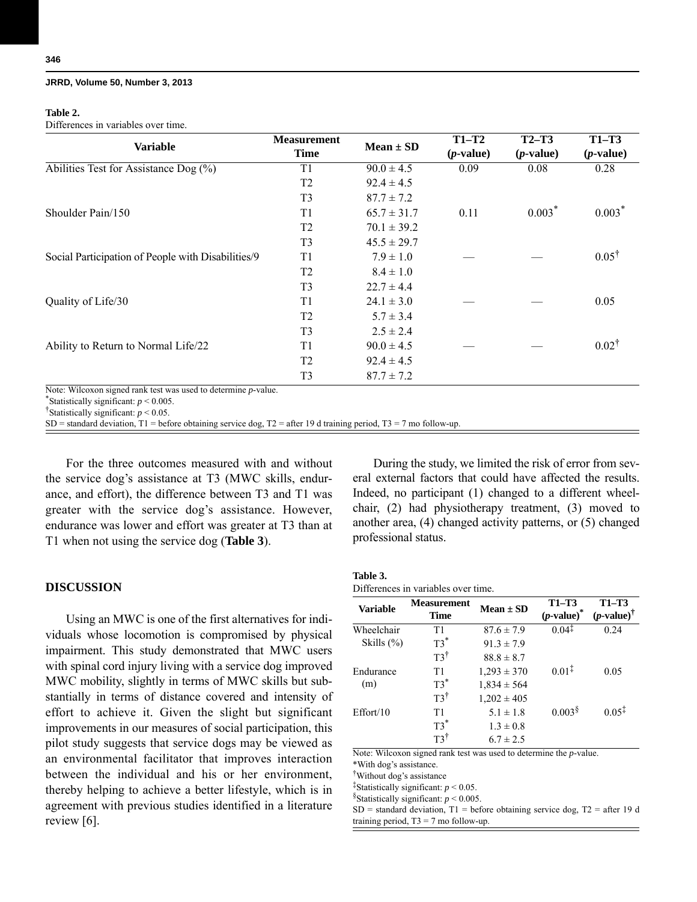#### **Table 2.**

Differences in variables over time.

|                                                                | <b>Measurement</b> |                 | $T1-T2$     | $T2-T3$     | $T1-T3$          |
|----------------------------------------------------------------|--------------------|-----------------|-------------|-------------|------------------|
| <b>Variable</b>                                                | <b>Time</b>        | Mean $\pm$ SD   | $(p-value)$ | $(p-value)$ | $(p-value)$      |
| Abilities Test for Assistance Dog $(\%)$                       | T1                 | $90.0 \pm 4.5$  | 0.09        | 0.08        | 0.28             |
|                                                                | T <sub>2</sub>     | $92.4 \pm 4.5$  |             |             |                  |
|                                                                | T <sub>3</sub>     | $87.7 \pm 7.2$  |             |             |                  |
| Shoulder Pain/150                                              | T1                 | $65.7 \pm 31.7$ | 0.11        | $0.003*$    | $0.003*$         |
|                                                                | T <sub>2</sub>     | $70.1 \pm 39.2$ |             |             |                  |
|                                                                | T <sub>3</sub>     | $45.5 \pm 29.7$ |             |             |                  |
| Social Participation of People with Disabilities/9             | T1                 | $7.9 \pm 1.0$   |             |             | $0.05^{\dagger}$ |
|                                                                | T <sub>2</sub>     | $8.4 \pm 1.0$   |             |             |                  |
|                                                                | T <sub>3</sub>     | $22.7 \pm 4.4$  |             |             |                  |
| Quality of Life/30                                             | T1                 | $24.1 \pm 3.0$  |             |             | 0.05             |
|                                                                | T <sub>2</sub>     | $5.7 \pm 3.4$   |             |             |                  |
|                                                                | T <sub>3</sub>     | $2.5 \pm 2.4$   |             |             |                  |
| Ability to Return to Normal Life/22                            | T1                 | $90.0 \pm 4.5$  |             |             | $0.02^{\dagger}$ |
|                                                                | T <sub>2</sub>     | $92.4 \pm 4.5$  |             |             |                  |
|                                                                | T <sub>3</sub>     | $87.7 \pm 7.2$  |             |             |                  |
| Note: Wilcoxon signed rank test was used to determine p-value. |                    |                 |             |             |                  |
| *Statistically significant: $p < 0.005$ .                      |                    |                 |             |             |                  |
| Statistically significant: $p < 0.05$ .                        |                    |                 |             |             |                  |

SD = standard deviation, T1 = before obtaining service dog, T2 = after 19 d training period, T3 = 7 mo follow-up.

For the three outcomes measured with and without the service dog's assistance at T3 (MWC skills, endurance, and effort), the difference between T3 and T1 was greater with the service dog's assistance. However, endurance was lower and effort was greater at T3 than at T1 when not using the service dog (**Table 3**).

# **DISCUSSION**

Using an MWC is one of the first alternatives for individuals whose locomotion is compromised by physical impairment. This study demonstrated that MWC users with spinal cord injury living with a service dog improved MWC mobility, slightly in terms of MWC skills but substantially in terms of distance covered and intensity of effort to achieve it. Given the slight but significant improvements in our measures of social participation, this pilot study suggests that service dogs may be viewed as an environmental facilitator that improves interaction between the individual and his or her environment, thereby helping to achieve a better lifestyle, which is in agreement with previous studies identified in a literature review [6].

During the study, we limited the risk of error from several external factors that could have affected the results. Indeed, no participant (1) changed to a different wheelchair, (2) had physiotherapy treatment, (3) moved to another area, (4) changed activity patterns, or (5) changed professional status.

#### **Table 3.** Differences in variables over time.

| <b>Measurement</b><br><b>Time</b> | $Mean \pm SD$    | $T1-T3$<br>$(p$ -value)* | $T1-T3$<br>$(p$ -value) <sup>†</sup> |
|-----------------------------------|------------------|--------------------------|--------------------------------------|
| T1                                | $87.6 \pm 7.9$   | $0.04^{\ddagger}$        | 0.24                                 |
| $T3^*$                            | $91.3 \pm 7.9$   |                          |                                      |
| $T3^{\dagger}$                    | $88.8 \pm 8.7$   |                          |                                      |
| T1                                | $1,293 \pm 370$  | $0.01^{\ddagger}$        | 0.05                                 |
|                                   | $1,834 \pm 564$  |                          |                                      |
| $T3^{\dagger}$                    | $1,202 \pm 405$  |                          |                                      |
| T1                                | $5.1 \pm 1.8$    | $0.003$ <sup>§</sup>     | $0.05^{\ddagger}$                    |
|                                   | $1.3 \pm 0.8$    |                          |                                      |
| T٦Ť                               | $6.7 \pm 2.5$    |                          |                                      |
|                                   | $T3^*$<br>$T3^*$ |                          |                                      |

Note: Wilcoxon signed rank test was used to determine the *p*-value.

\*With dog's assistance.

†Without dog's assistance

<sup>‡</sup>Statistically significant:  $p < 0.05$ . §Statistically significant:  $p < 0.005$ .

 $SD =$  standard deviation,  $T1 =$  before obtaining service dog,  $T2 =$  after 19 d training period,  $T3 = 7$  mo follow-up.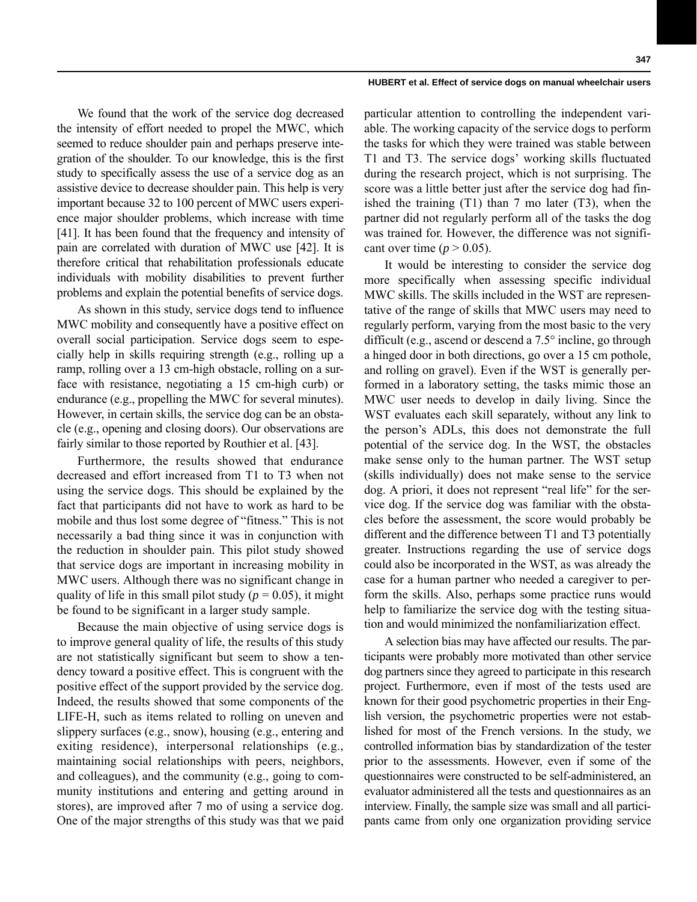#### **347**

#### **HUBERT et al. Effect of service dogs on manual wheelchair users**

We found that the work of the service dog decreased the intensity of effort needed to propel the MWC, which seemed to reduce shoulder pain and perhaps preserve integration of the shoulder. To our knowledge, this is the first study to specifically assess the use of a service dog as an assistive device to decrease shoulder pain. This help is very important because 32 to 100 percent of MWC users experience major shoulder problems, which increase with time [41]. It has been found that the frequency and intensity of pain are correlated with duration of MWC use [42]. It is therefore critical that rehabilitation professionals educate individuals with mobility disabilities to prevent further problems and explain the potential benefits of service dogs.

As shown in this study, service dogs tend to influence MWC mobility and consequently have a positive effect on overall social participation. Service dogs seem to especially help in skills requiring strength (e.g., rolling up a ramp, rolling over a 13 cm-high obstacle, rolling on a surface with resistance, negotiating a 15 cm-high curb) or endurance (e.g., propelling the MWC for several minutes). However, in certain skills, the service dog can be an obstacle (e.g., opening and closing doors). Our observations are fairly similar to those reported by Routhier et al. [43].

Furthermore, the results showed that endurance decreased and effort increased from T1 to T3 when not using the service dogs. This should be explained by the fact that participants did not have to work as hard to be mobile and thus lost some degree of "fitness." This is not necessarily a bad thing since it was in conjunction with the reduction in shoulder pain. This pilot study showed that service dogs are important in increasing mobility in MWC users. Although there was no significant change in quality of life in this small pilot study ( $p = 0.05$ ), it might be found to be significant in a larger study sample.

Because the main objective of using service dogs is to improve general quality of life, the results of this study are not statistically significant but seem to show a tendency toward a positive effect. This is congruent with the positive effect of the support provided by the service dog. Indeed, the results showed that some components of the LIFE-H, such as items related to rolling on uneven and slippery surfaces (e.g., snow), housing (e.g., entering and exiting residence), interpersonal relationships (e.g., maintaining social relationships with peers, neighbors, and colleagues), and the community (e.g., going to community institutions and entering and getting around in stores), are improved after 7 mo of using a service dog. One of the major strengths of this study was that we paid

particular attention to controlling the independent variable. The working capacity of the service dogs to perform the tasks for which they were trained was stable between T1 and T3. The service dogs' working skills fluctuated during the research project, which is not surprising. The score was a little better just after the service dog had finished the training (T1) than 7 mo later (T3), when the partner did not regularly perform all of the tasks the dog was trained for. However, the difference was not significant over time  $(p > 0.05)$ .

It would be interesting to consider the service dog more specifically when assessing specific individual MWC skills. The skills included in the WST are representative of the range of skills that MWC users may need to regularly perform, varying from the most basic to the very difficult (e.g., ascend or descend a  $7.5^{\circ}$  incline, go through a hinged door in both directions, go over a 15 cm pothole, and rolling on gravel). Even if the WST is generally performed in a laboratory setting, the tasks mimic those an MWC user needs to develop in daily living. Since the WST evaluates each skill separately, without any link to the person's ADLs, this does not demonstrate the full potential of the service dog. In the WST, the obstacles make sense only to the human partner. The WST setup (skills individually) does not make sense to the service dog. A priori, it does not represent "real life" for the service dog. If the service dog was familiar with the obstacles before the assessment, the score would probably be different and the difference between T1 and T3 potentially greater. Instructions regarding the use of service dogs could also be incorporated in the WST, as was already the case for a human partner who needed a caregiver to perform the skills. Also, perhaps some practice runs would help to familiarize the service dog with the testing situation and would minimized the nonfamiliarization effect.

A selection bias may have affected our results. The participants were probably more motivated than other service dog partners since they agreed to participate in this research project. Furthermore, even if most of the tests used are known for their good psychometric properties in their English version, the psychometric properties were not established for most of the French versions. In the study, we controlled information bias by standardization of the tester prior to the assessments. However, even if some of the questionnaires were constructed to be self-administered, an evaluator administered all the tests and questionnaires as an interview. Finally, the sample size was small and all participants came from only one organization providing service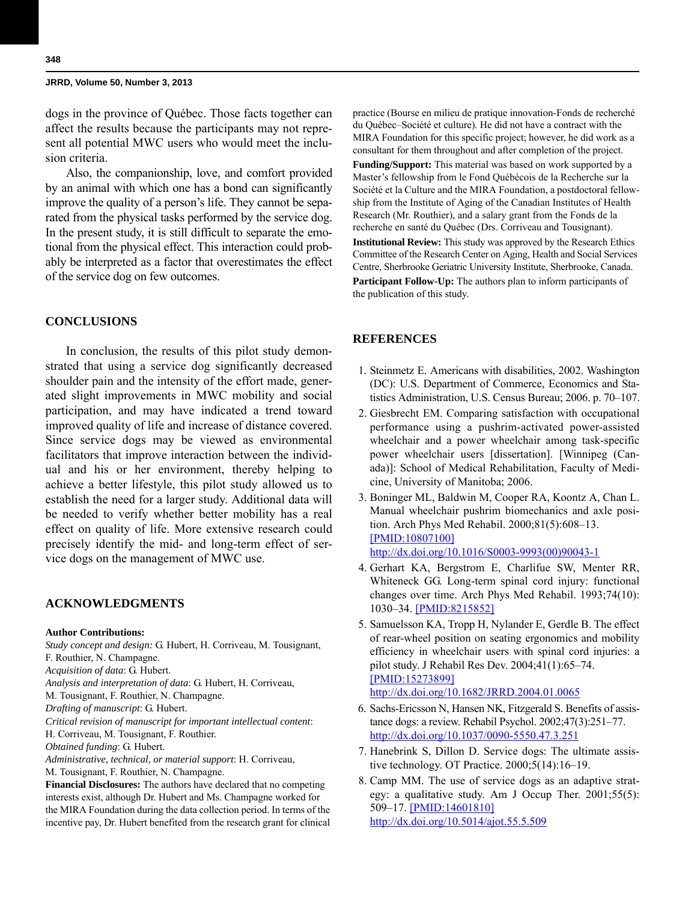dogs in the province of Québec. Those facts together can affect the results because the participants may not represent all potential MWC users who would meet the inclusion criteria.

Also, the companionship, love, and comfort provided by an animal with which one has a bond can significantly improve the quality of a person's life. They cannot be separated from the physical tasks performed by the service dog. In the present study, it is still difficult to separate the emotional from the physical effect. This interaction could probably be interpreted as a factor that overestimates the effect of the service dog on few outcomes.

# **CONCLUSIONS**

In conclusion, the results of this pilot study demonstrated that using a service dog significantly decreased shoulder pain and the intensity of the effort made, generated slight improvements in MWC mobility and social participation, and may have indicated a trend toward improved quality of life and increase of distance covered. Since service dogs may be viewed as environmental facilitators that improve interaction between the individual and his or her environment, thereby helping to achieve a better lifestyle, this pilot study allowed us to establish the need for a larger study. Additional data will be needed to verify whether better mobility has a real effect on quality of life. More extensive research could precisely identify the mid- and long-term effect of service dogs on the management of MWC use.

## **ACKNOWLEDGMENTS**

#### **Author Contributions:**

*Study concept and design:* G. Hubert, H. Corriveau, M. Tousignant, F. Routhier, N. Champagne. *Acquisition of data*: G. Hubert.

*Analysis and interpretation of data*: G. Hubert, H. Corriveau, M. Tousignant, F. Routhier, N. Champagne.

*Drafting of manuscript*: G. Hubert.

*Critical revision of manuscript for important intellectual content*:

H. Corriveau, M. Tousignant, F. Routhier.

*Obtained funding*: G. Hubert.

*Administrative, technical, or material support*: H. Corriveau,

M. Tousignant, F. Routhier, N. Champagne.

**Financial Disclosures:** The authors have declared that no competing interests exist, although Dr. Hubert and Ms. Champagne worked for the MIRA Foundation during the data collection period. In terms of the incentive pay, Dr. Hubert benefited from the research grant for clinical practice (Bourse en milieu de pratique innovation-Fonds de recherché du Québec–Société et culture). He did not have a contract with the MIRA Foundation for this specific project; however, he did work as a consultant for them throughout and after completion of the project. **Funding/Support:** This material was based on work supported by a Master's fellowship from le Fond Québécois de la Recherche sur la Société et la Culture and the MIRA Foundation, a postdoctoral fellowship from the Institute of Aging of the Canadian Institutes of Health Research (Mr. Routhier), and a salary grant from the Fonds de la recherche en santé du Québec (Drs. Corriveau and Tousignant). **Institutional Review:** This study was approved by the Research Ethics Committee of the Research Center on Aging, Health and Social Services Centre, Sherbrooke Geriatric University Institute, Sherbrooke, Canada. **Participant Follow-Up:** The authors plan to inform participants of the publication of this study.

# **REFERENCES**

- 1. Steinmetz E. Americans with disabilities, 2002. Washington (DC): U.S. Department of Commerce, Economics and Statistics Administration, U.S. Census Bureau; 2006. p. 70–107.
- 2. Giesbrecht EM. Comparing satisfaction with occupational performance using a pushrim-activated power-assisted wheelchair and a power wheelchair among task-specific power wheelchair users [dissertation]. [Winnipeg (Canada)]: School of Medical Rehabilitation, Faculty of Medicine, University of Manitoba; 2006.
- 3. Boninger ML, Baldwin M, Cooper RA, Koontz A, Chan L. Manual wheelchair pushrim biomechanics and axle position. Arch Phys Med Rehabil. 2000;81(5):608–13. [\[PMID:10807100\]](http://www.ncbi.nlm.nih.gov/entrez/query.fcgi?cmd=Retrieve&db=PubMed&list_uids=10807100&dopt=Abstract) [h](http://www.ncbi.nlm.nih.gov/entrez/query.fcgi?cmd=Retrieve&db=PubMed&list_uids=10807100&dopt=Abstract)[ttp://dx.doi.org/10.1016/S0003-9993\(00\)90043-1](http://dx.doi.org/10.1016/S0003-9993(00)90043-1)
- 4. Gerhart KA, Bergstrom E, Charlifue SW, Menter RR, Whiteneck GG. Long-term spinal cord injury: functional changes over time. Arch Phys Med Rehabil. 1993;74(10): 1030–34. [\[PMID:8215852\]](http://www.ncbi.nlm.nih.gov/entrez/query.fcgi?cmd=Retrieve&db=PubMed&list_uids=8215852&dopt=Abstract)
- 5. Samuelsson KA, Tropp H, Nylander E, Gerdle B. The effect of rear-wheel position on seating ergonomics and mobility efficiency in wheelchair users with spinal cord injuries: a pilot study. J Rehabil Res Dev. 2004;41(1):65–74. [\[PMID:15273899\]](http://www.ncbi.nlm.nih.gov/entrez/query.fcgi?cmd=Retrieve&db=PubMed&list_uids=15273899&dopt=Abstract) [h](http://www.ncbi.nlm.nih.gov/entrez/query.fcgi?cmd=Retrieve&db=PubMed&list_uids=15273899&dopt=Abstract)[ttp://dx.doi.org/10.1682/JRRD.2004.01.0065](http://dx.doi.org/10.1682/JRRD.2004.01.0065)
- 6. Sachs-Ericsson N, Hansen NK, Fitzgerald S. Benefits of assistance dogs: a review. Rehabil Psychol. 2002;47(3):251–77. <http://dx.doi.org/10.1037/0090-5550.47.3.251>
- 7. Hanebrink S, Dillon D. Service dogs: The ultimate assistive technology. OT Practice. 2000;5(14):16–19.
- 8. Camp MM. The use of service dogs as an adaptive strategy: a qualitative study. Am J Occup Ther. 2001;55(5): 509–17. [\[PMID:14601810\]](http://www.ncbi.nlm.nih.gov/entrez/query.fcgi?cmd=Retrieve&db=PubMed&list_uids=14601810&dopt=Abstract) [h](http://www.ncbi.nlm.nih.gov/entrez/query.fcgi?cmd=Retrieve&db=PubMed&list_uids=14601810&dopt=Abstract)[ttp://dx.doi.org/10.5014/ajot.55.5.509](http://dx.doi.org/10.5014/ajot.55.5.509)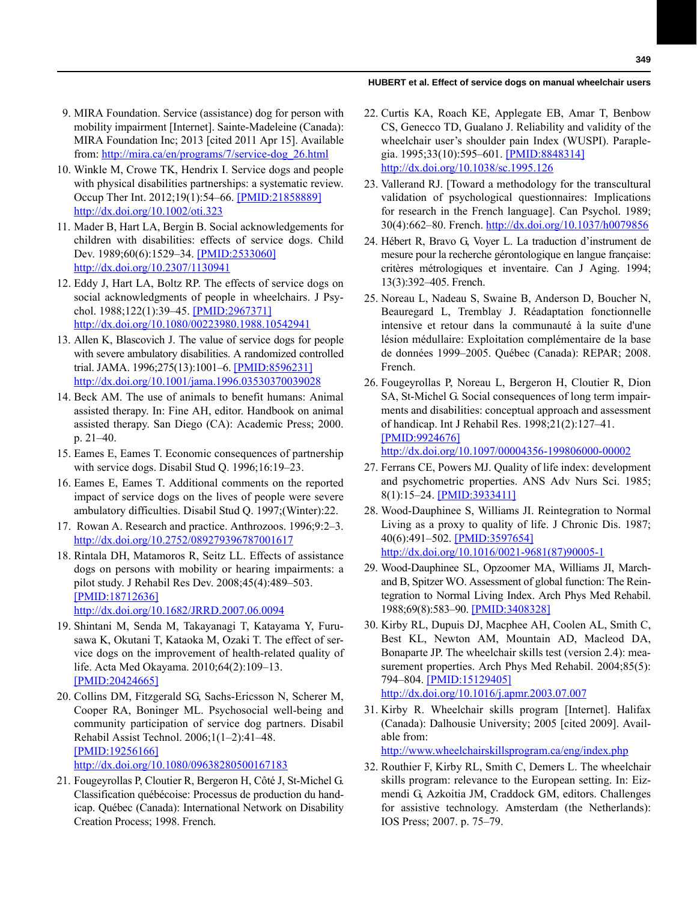#### **HUBERT et al. Effect of service dogs on manual wheelchair users**

- 9. MIRA Foundation. Service (assistance) dog for person with mobility impairment [Internet]. Sainte-Madeleine (Canada): MIRA Foundation Inc; 2013 [cited 2011 Apr 15]. Available from: [http://mira.ca/en/programs/7/service-dog\\_26.html](http://mira.ca/en/programs/7/service-dog_26.html)
- 10. Winkle M, Crowe TK, Hendrix I. Service dogs and people with physical disabilities partnerships: a systematic review. Occup Ther Int. 2012;19(1):54–66. [\[PMID:21858889\]](http://www.ncbi.nlm.nih.gov/pubmed/21858889) [h](http://www.ncbi.nlm.nih.gov/pubmed/21858889)[ttp://dx.doi.org/10.1002/oti.323](http://dx.doi.org/10.1002/oti.323)
- 11. Mader B, Hart LA, Bergin B. Social acknowledgements for children with disabilities: effects of service dogs. Child Dev. 1989;60(6):1529–34. [\[PMID:2533060\]](http://www.ncbi.nlm.nih.gov/entrez/query.fcgi?cmd=Retrieve&db=PubMed&list_uids=2533060&dopt=Abstract) [h](http://www.ncbi.nlm.nih.gov/entrez/query.fcgi?cmd=Retrieve&db=PubMed&list_uids=2533060&dopt=Abstract)[ttp://dx.doi.org/10.2307/1130941](http://dx.doi.org/10.2307/1130941)
- 12. Eddy J, Hart LA, Boltz RP. The effects of service dogs on social acknowledgments of people in wheelchairs. J Psychol. 1988;122(1):39–45. [\[PMID:2967371\]](http://www.ncbi.nlm.nih.gov/entrez/query.fcgi?cmd=Retrieve&db=PubMed&list_uids=2967371&dopt=Abstract) [h](http://www.ncbi.nlm.nih.gov/entrez/query.fcgi?cmd=Retrieve&db=PubMed&list_uids=2967371&dopt=Abstract)[ttp://dx.doi.org/10.1080/00223980.1988.10542941](http://dx.doi.org/10.1080/00223980.1988.10542941)
- 13. Allen K, Blascovich J. The value of service dogs for people with severe ambulatory disabilities. A randomized controlled trial. JAMA. 1996;275(13):1001–6. [\[PMID:8596231\]](http://www.ncbi.nlm.nih.gov/entrez/query.fcgi?cmd=Retrieve&db=PubMed&list_uids=8596231&dopt=Abstract) [h](http://www.ncbi.nlm.nih.gov/entrez/query.fcgi?cmd=Retrieve&db=PubMed&list_uids=8596231&dopt=Abstract)[ttp://dx.doi.org/10.1001/jama.1996.03530370039028](http://dx.doi.org/10.1001/jama.1996.03530370039028)
- 14. Beck AM. The use of animals to benefit humans: Animal assisted therapy. In: Fine AH, editor. Handbook on animal assisted therapy. San Diego (CA): Academic Press; 2000. p. 21–40.
- 15. Eames E, Eames T. Economic consequences of partnership with service dogs. Disabil Stud Q. 1996;16:19–23.
- 16. Eames E, Eames T. Additional comments on the reported impact of service dogs on the lives of people were severe ambulatory difficulties. Disabil Stud Q. 1997;(Winter):22.
- 17. Rowan A. Research and practice. Anthrozoos. 1996;9:2–3. <http://dx.doi.org/10.2752/089279396787001617>
- 18. Rintala DH, Matamoros R, Seitz LL. Effects of assistance dogs on persons with mobility or hearing impairments: a pilot study. J Rehabil Res Dev. 2008;45(4):489–503. [\[PMID:18712636\]](http://www.ncbi.nlm.nih.gov/entrez/query.fcgi?cmd=Retrieve&db=PubMed&list_uids=18712636&dopt=Abstract)

[h](http://www.ncbi.nlm.nih.gov/entrez/query.fcgi?cmd=Retrieve&db=PubMed&list_uids=18712636&dopt=Abstract)[ttp://dx.doi.org/10.1682/JRRD.2007.06.0094](http://dx.doi.org/10.1682/JRRD.2007.06.0094)

- 19. Shintani M, Senda M, Takayanagi T, Katayama Y, Furusawa K, Okutani T, Kataoka M, Ozaki T. The effect of service dogs on the improvement of health-related quality of life. Acta Med Okayama. 2010;64(2):109–13. [\[PMID:20424665\]](http://www.ncbi.nlm.nih.gov/entrez/query.fcgi?cmd=Retrieve&db=PubMed&list_uids=20424665&dopt=Abstract)
- 20. Collins DM, Fitzgerald SG, Sachs-Ericsson N, Scherer M, Cooper RA, Boninger ML. Psychosocial well-being and community participation of service dog partners. Disabil Rehabil Assist Technol. 2006;1(1–2):41–48. [\[PMID:19256166\]](http://www.ncbi.nlm.nih.gov/entrez/query.fcgi?cmd=Retrieve&db=PubMed&list_uids=19256166&dopt=Abstract) [h](http://www.ncbi.nlm.nih.gov/entrez/query.fcgi?cmd=Retrieve&db=PubMed&list_uids=19256166&dopt=Abstract)[ttp://dx.doi.org/10.1080/09638280500167183](http://dx.doi.org/10.1080/09638280500167183)
- 21. Fougeyrollas P, Cloutier R, Bergeron H, Côté J, St-Michel G. Classification québécoise: Processus de production du handicap. Québec (Canada): International Network on Disability Creation Process; 1998. French.
- 22. Curtis KA, Roach KE, Applegate EB, Amar T, Benbow CS, Genecco TD, Gualano J. Reliability and validity of the wheelchair user's shoulder pain Index (WUSPI). Paraplegia. 1995;33(10):595–601. [\[PMID:8848314\]](http://www.ncbi.nlm.nih.gov/entrez/query.fcgi?cmd=Retrieve&db=PubMed&list_uids=8848314&dopt=Abstract) [h](http://www.ncbi.nlm.nih.gov/entrez/query.fcgi?cmd=Retrieve&db=PubMed&list_uids=8848314&dopt=Abstract)[ttp://dx.doi.org/10.1038/sc.1995.126](http://dx.doi.org/10.1038/sc.1995.126)
- 23. Vallerand RJ. [Toward a methodology for the transcultural validation of psychological questionnaires: Implications for research in the French language]. Can Psychol. 1989; 30(4):662–80. French.<http://dx.doi.org/10.1037/h0079856>
- 24. Hébert R, Bravo G, Voyer L. La traduction d'instrument de mesure pour la recherche gérontologique en langue française: critères métrologiques et inventaire. Can J Aging. 1994; 13(3):392–405. French.
- 25. Noreau L, Nadeau S, Swaine B, Anderson D, Boucher N, Beauregard L, Tremblay J. Réadaptation fonctionnelle intensive et retour dans la communauté à la suite d'une lésion médullaire: Exploitation complémentaire de la base de données 1999–2005. Québec (Canada): REPAR; 2008. French.
- 26. Fougeyrollas P, Noreau L, Bergeron H, Cloutier R, Dion SA, St-Michel G. Social consequences of long term impairments and disabilities: conceptual approach and assessment of handicap. Int J Rehabil Res. 1998;21(2):127–41. [\[PMID:9924676\]](http://www.ncbi.nlm.nih.gov/entrez/query.fcgi?cmd=Retrieve&db=PubMed&list_uids=9924676&dopt=Abstract) [h](http://www.ncbi.nlm.nih.gov/entrez/query.fcgi?cmd=Retrieve&db=PubMed&list_uids=9924676&dopt=Abstract)[ttp://dx.doi.org/10.1097/00004356-199806000-00002](http://dx.doi.org/10.1097/00004356-199806000-00002)
- 27. Ferrans CE, Powers MJ. Quality of life index: development and psychometric properties. ANS Adv Nurs Sci. 1985; 8(1):15–24. [\[PMID:3933411\]](http://www.ncbi.nlm.nih.gov/entrez/query.fcgi?cmd=Retrieve&db=PubMed&list_uids=3933411&dopt=Abstract)
- 28. Wood-Dauphinee S, Williams JI. Reintegration to Normal Living as a proxy to quality of life. J Chronic Dis. 1987; 40(6):491–502. [\[PMID:3597654\]](http://www.ncbi.nlm.nih.gov/pubmed/?term=3597654) [h](http://www.ncbi.nlm.nih.gov/pubmed/?term=3597654)[ttp://dx.doi.org/10.1016/0021-9681\(87\)90005-1](http://dx.doi.org/10.1016/0021-9681(87)90005-1)
- 29. Wood-Dauphinee SL, Opzoomer MA, Williams JI, Marchand B, Spitzer WO. Assessment of global function: The Reintegration to Normal Living Index. Arch Phys Med Rehabil. 1988;69(8):583–90. [\[PMID:3408328\]](http://www.ncbi.nlm.nih.gov/entrez/query.fcgi?cmd=Retrieve&db=PubMed&list_uids=3408328&dopt=Abstract)
- 30. Kirby RL, Dupuis DJ, Macphee AH, Coolen AL, Smith C, Best KL, Newton AM, Mountain AD, Macleod DA, Bonaparte JP. The wheelchair skills test (version 2.4): measurement properties. Arch Phys Med Rehabil. 2004;85(5): 794–804. [\[PMID:15129405\]](http://www.ncbi.nlm.nih.gov/entrez/query.fcgi?cmd=Retrieve&db=PubMed&list_uids=15129405&dopt=Abstract) [h](http://www.ncbi.nlm.nih.gov/entrez/query.fcgi?cmd=Retrieve&db=PubMed&list_uids=15129405&dopt=Abstract)[ttp://dx.doi.org/10.1016/j.apmr.2003.07.007](http://dx.doi.org/10.1016/j.apmr.2003.07.007)
- 31. Kirby R. Wheelchair skills program [Internet]. Halifax (Canada): Dalhousie University; 2005 [cited 2009]. Available from:

<http://www.wheelchairskillsprogram.ca/eng/index.php>

32. Routhier F, Kirby RL, Smith C, Demers L. The wheelchair skills program: relevance to the European setting. In: Eizmendi G, Azkoitia JM, Craddock GM, editors. Challenges for assistive technology. Amsterdam (the Netherlands): IOS Press; 2007. p. 75–79.